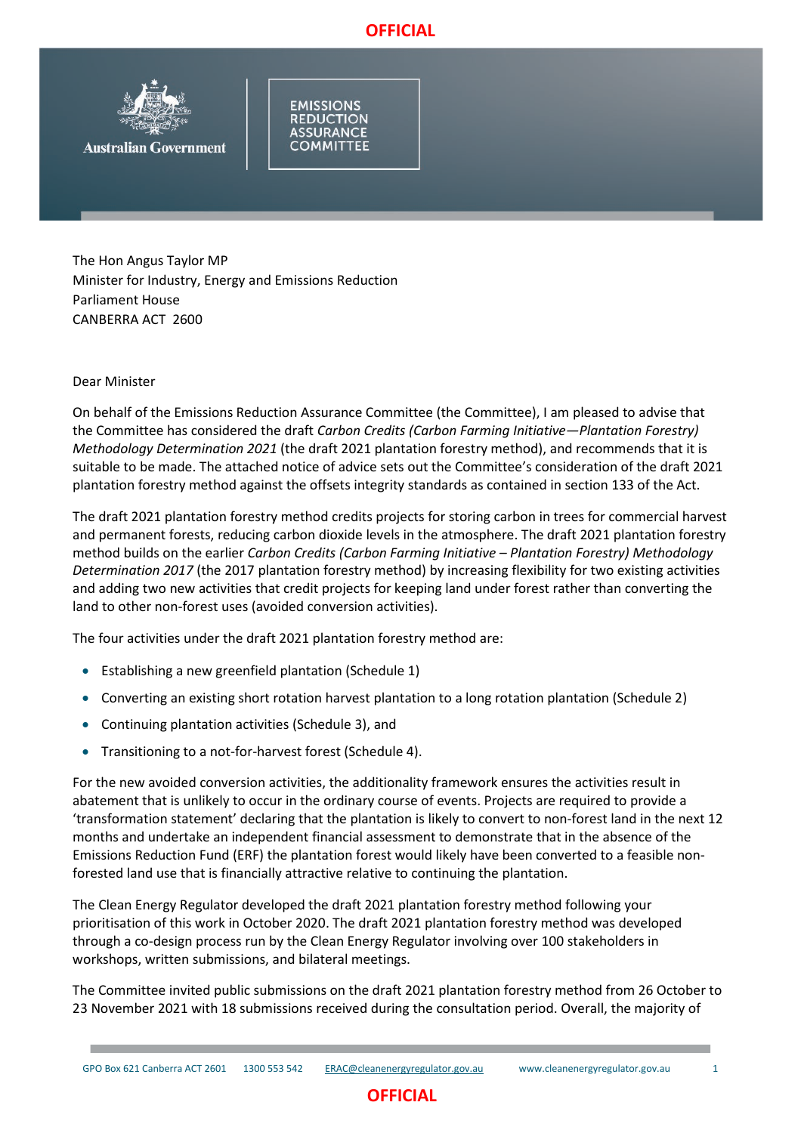**EMISSIONS REDUCTION ASSURANCE** COMMITTEE



**Australian Government** 

The Hon Angus Taylor MP Minister for Industry, Energy and Emissions Reduction Parliament House CANBERRA ACT 2600

#### Dear Minister

On behalf of the Emissions Reduction Assurance Committee (the Committee), I am pleased to advise that the Committee has considered the draft *Carbon Credits (Carbon Farming Initiative—Plantation Forestry) Methodology Determination 2021* (the draft 2021 plantation forestry method), and recommends that it is suitable to be made. The attached notice of advice sets out the Committee's consideration of the draft 2021 plantation forestry method against the offsets integrity standards as contained in section 133 of the Act.

The draft 2021 plantation forestry method credits projects for storing carbon in trees for commercial harvest and permanent forests, reducing carbon dioxide levels in the atmosphere. The draft 2021 plantation forestry method builds on the earlier *Carbon Credits (Carbon Farming Initiative – Plantation Forestry) Methodology Determination 2017* (the 2017 plantation forestry method) by increasing flexibility for two existing activities and adding two new activities that credit projects for keeping land under forest rather than converting the land to other non-forest uses (avoided conversion activities).

The four activities under the draft 2021 plantation forestry method are:

- Establishing a new greenfield plantation (Schedule 1)
- Converting an existing short rotation harvest plantation to a long rotation plantation (Schedule 2)
- Continuing plantation activities (Schedule 3), and
- Transitioning to a not-for-harvest forest (Schedule 4).

For the new avoided conversion activities, the additionality framework ensures the activities result in abatement that is unlikely to occur in the ordinary course of events. Projects are required to provide a 'transformation statement' declaring that the plantation is likely to convert to non-forest land in the next 12 months and undertake an independent financial assessment to demonstrate that in the absence of the Emissions Reduction Fund (ERF) the plantation forest would likely have been converted to a feasible nonforested land use that is financially attractive relative to continuing the plantation.

The Clean Energy Regulator developed the draft 2021 plantation forestry method following your prioritisation of this work in October 2020. The draft 2021 plantation forestry method was developed through a co-design process run by the Clean Energy Regulator involving over 100 stakeholders in workshops, written submissions, and bilateral meetings.

The Committee invited public submissions on the draft 2021 plantation forestry method from 26 October to 23 November 2021 with 18 submissions received during the consultation period. Overall, the majority of

**OFFICIAL**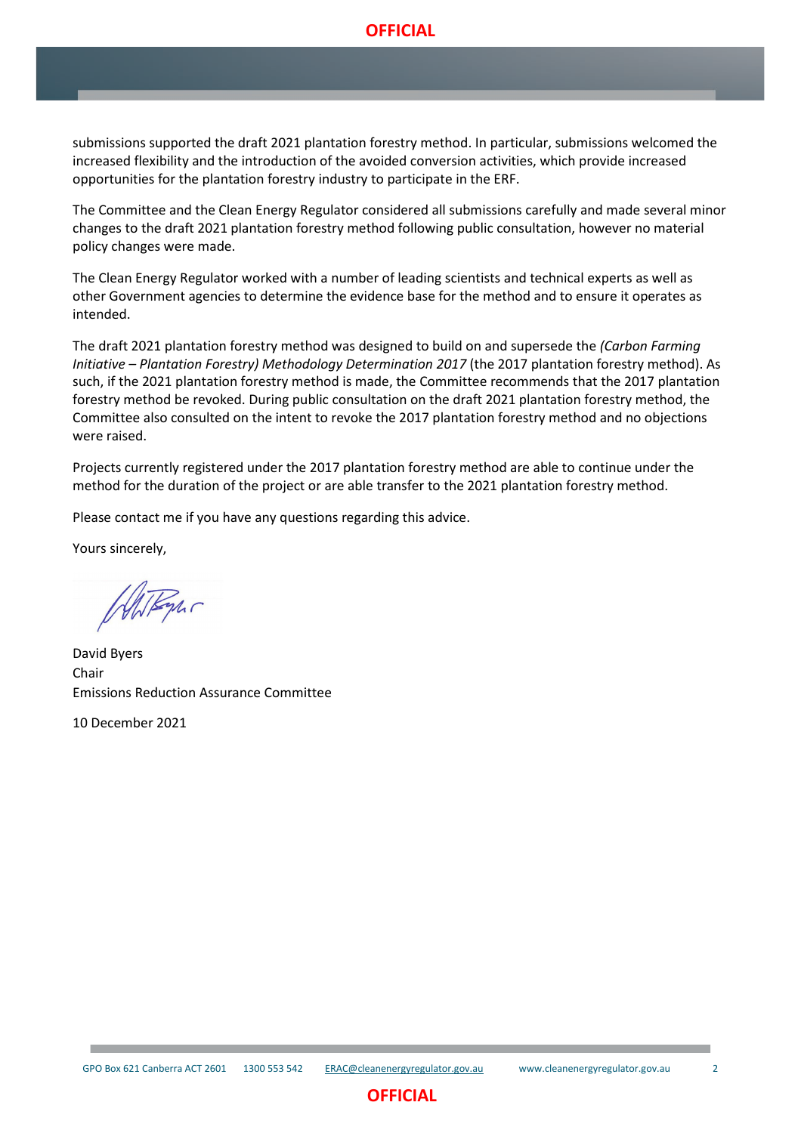submissions supported the draft 2021 plantation forestry method. In particular, submissions welcomed the increased flexibility and the introduction of the avoided conversion activities, which provide increased opportunities for the plantation forestry industry to participate in the ERF.

The Committee and the Clean Energy Regulator considered all submissions carefully and made several minor changes to the draft 2021 plantation forestry method following public consultation, however no material policy changes were made.

The Clean Energy Regulator worked with a number of leading scientists and technical experts as well as other Government agencies to determine the evidence base for the method and to ensure it operates as intended.

The draft 2021 plantation forestry method was designed to build on and supersede the *(Carbon Farming Initiative – Plantation Forestry) Methodology Determination 2017* (the 2017 plantation forestry method). As such, if the 2021 plantation forestry method is made, the Committee recommends that the 2017 plantation forestry method be revoked. During public consultation on the draft 2021 plantation forestry method, the Committee also consulted on the intent to revoke the 2017 plantation forestry method and no objections were raised.

Projects currently registered under the 2017 plantation forestry method are able to continue under the method for the duration of the project or are able transfer to the 2021 plantation forestry method.

Please contact me if you have any questions regarding this advice.

Yours sincerely,

Witcomr

David Byers **Chair** Emissions Reduction Assurance Committee

10 December 2021

**OFFICIAL**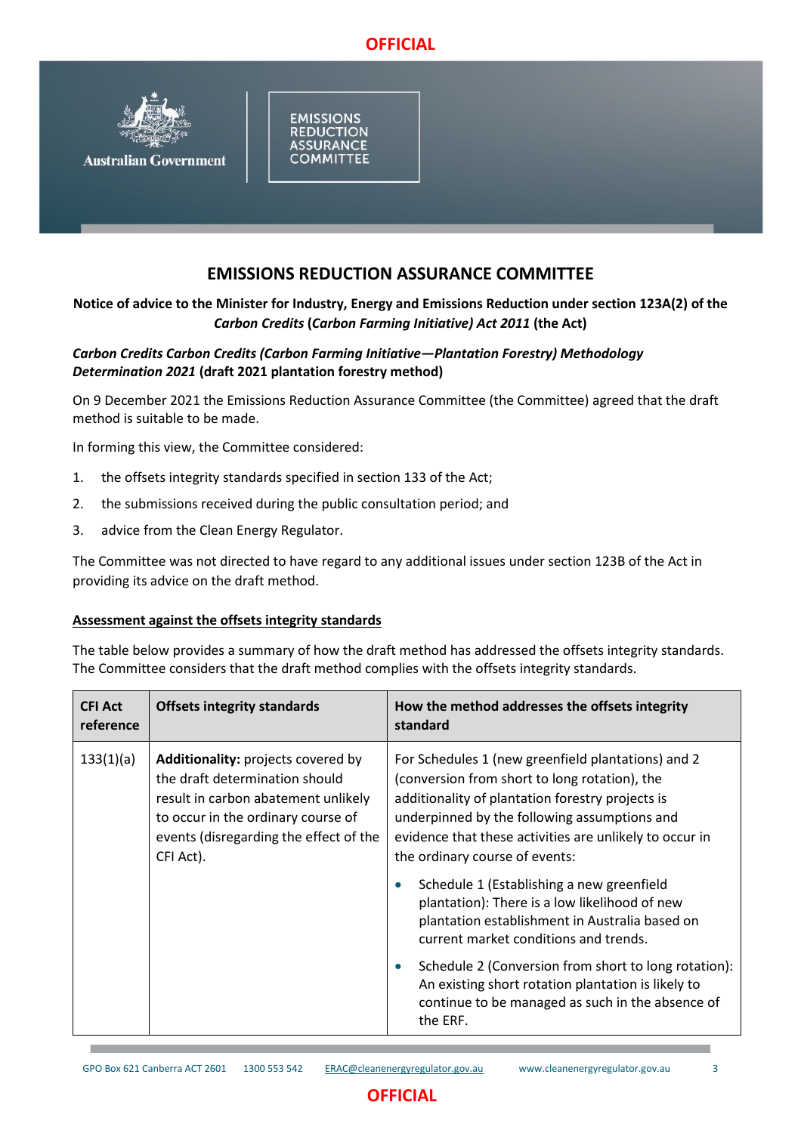

**EMISSIONS REDUCTION ASSURANCE COMMITTEE** 

## **EMISSIONS REDUCTION ASSURANCE COMMITTEE**

### **Notice of advice to the Minister for Industry, Energy and Emissions Reduction under section 123A(2) of the**  *Carbon Credits* **(***Carbon Farming Initiative) Act 2011* **(the Act)**

### *Carbon Credits Carbon Credits (Carbon Farming Initiative—Plantation Forestry) Methodology Determination 2021* **(draft 2021 plantation forestry method)**

On 9 December 2021 the Emissions Reduction Assurance Committee (the Committee) agreed that the draft method is suitable to be made.

In forming this view, the Committee considered:

- 1. the offsets integrity standards specified in section 133 of the Act;
- 2. the submissions received during the public consultation period; and
- 3. advice from the Clean Energy Regulator.

The Committee was not directed to have regard to any additional issues under section 123B of the Act in providing its advice on the draft method.

#### **Assessment against the offsets integrity standards**

The table below provides a summary of how the draft method has addressed the offsets integrity standards. The Committee considers that the draft method complies with the offsets integrity standards.

| <b>CFI Act</b><br>reference | <b>Offsets integrity standards</b>                                                                                                                                                                       | How the method addresses the offsets integrity<br>standard                                                                                                                                                                                                                                                                                                                                                                                                                                                                                                                                                                                                                                            |
|-----------------------------|----------------------------------------------------------------------------------------------------------------------------------------------------------------------------------------------------------|-------------------------------------------------------------------------------------------------------------------------------------------------------------------------------------------------------------------------------------------------------------------------------------------------------------------------------------------------------------------------------------------------------------------------------------------------------------------------------------------------------------------------------------------------------------------------------------------------------------------------------------------------------------------------------------------------------|
| 133(1)(a)                   | Additionality: projects covered by<br>the draft determination should<br>result in carbon abatement unlikely<br>to occur in the ordinary course of<br>events (disregarding the effect of the<br>CFI Act). | For Schedules 1 (new greenfield plantations) and 2<br>(conversion from short to long rotation), the<br>additionality of plantation forestry projects is<br>underpinned by the following assumptions and<br>evidence that these activities are unlikely to occur in<br>the ordinary course of events:<br>Schedule 1 (Establishing a new greenfield<br>$\bullet$<br>plantation): There is a low likelihood of new<br>plantation establishment in Australia based on<br>current market conditions and trends.<br>Schedule 2 (Conversion from short to long rotation):<br>$\bullet$<br>An existing short rotation plantation is likely to<br>continue to be managed as such in the absence of<br>the ERF. |